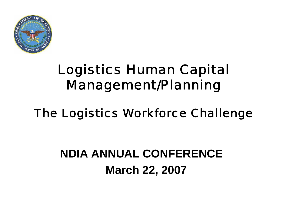

# Logistics Human Capital Management/Planning

## The Logistics Workforce Challenge

# **NDIA ANNUAL CONFERENCEMarch 22, 2007**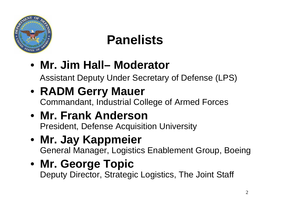

# **Panelists**

- **Mr. Jim Hall– Moderator** Assistant Deputy Under Secretary of Defense (LPS)
- **RADM Gerry Mauer** Commandant, Industrial College of Armed Forces
- **Mr. Frank Anderson**President, Defense Acquisition University
- **Mr. Jay Kappmeier** General Manager, Logistics Enablement Group, Boeing
- **Mr. George Topic** Deputy Director, Strategic Logistics, The Joint Staff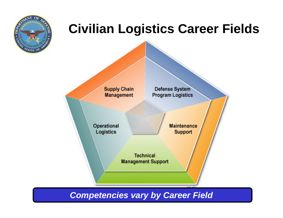

# **Civilian Logistics Career Fields**



#### *Competencies vary by Career Field*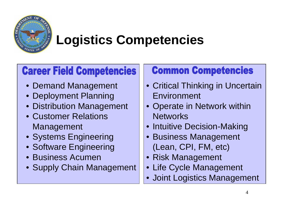

# **Logistics Competencies**

### **Career Field Competencies**

- Demand Management
- •Deployment Planning
- •Distribution Management
- Customer Relations Management
- Systems Engineering
- Software Engineering
- •Business Acumen
- Supply Chain Management

### **Common Competencies**

- Critical Thinking in Uncertain Environment
- Operate in Network within **Networks**
- Intuitive Decision-Making
- Business Management (Lean, CPI, FM, etc)
- Risk Management
- Life Cycle Management
- Joint Logistics Management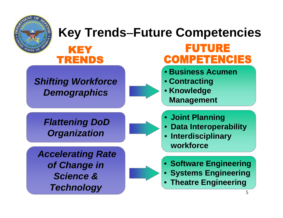

#### **Key Trends**−**Future Competencies** FUTURE KEY **COMPETENCIES TRENDS**

- **Business Acumen**
- **Contracting**
- **Knowledge Management**

*Flattening DoD Organization*

*Shifting Workforce* 

*Demographics*

*Accelerating Rate of Change in Science & Technology*

- **Joint Planning**
- •**Data Interoperability**
- **Interdisciplinary workforce**
- **Software Engineering**
- •**Systems Engineering**
- **Theatre Engineering**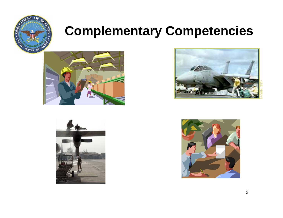

# **Complementary Competencies**







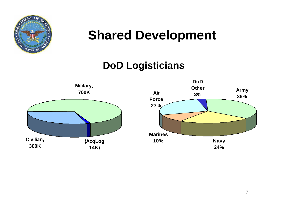

# **Shared Development**

### **DoD Logisticians**



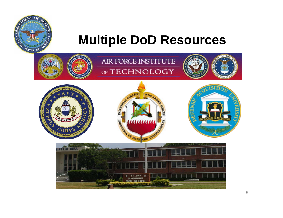

# **Multiple DoD Resources**

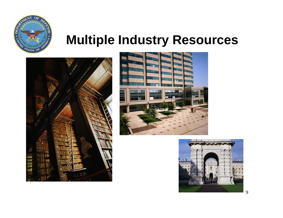

# **Multiple Industry Resources**